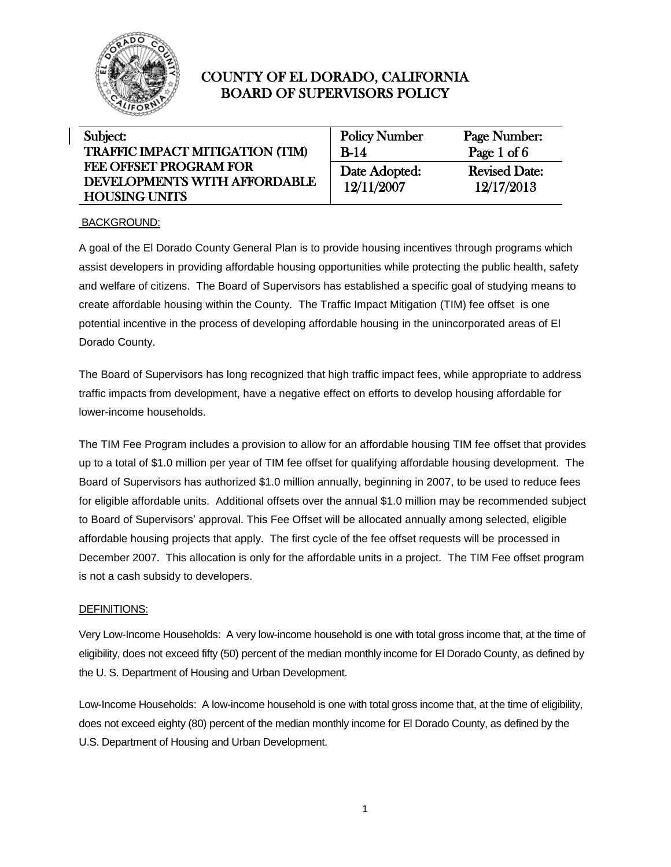

| Subject:                               | <b>Policy Number</b> | Page Number:         |
|----------------------------------------|----------------------|----------------------|
| <b>TRAFFIC IMPACT MITIGATION (TIM)</b> | $B-14$               | Page 1 of 6          |
| <b>FEE OFFSET PROGRAM FOR</b>          | Date Adopted:        | <b>Revised Date:</b> |
| DEVELOPMENTS WITH AFFORDABLE           | 12/11/2007           | 12/17/2013           |
| <b>HOUSING UNITS</b>                   |                      |                      |

### BACKGROUND:

A goal of the El Dorado County General Plan is to provide housing incentives through programs which assist developers in providing affordable housing opportunities while protecting the public health, safety and welfare of citizens. The Board of Supervisors has established a specific goal of studying means to create affordable housing within the County. The Traffic Impact Mitigation (TIM) fee offset is one potential incentive in the process of developing affordable housing in the unincorporated areas of El Dorado County.

The Board of Supervisors has long recognized that high traffic impact fees, while appropriate to address traffic impacts from development, have a negative effect on efforts to develop housing affordable for lower-income households.

The TIM Fee Program includes a provision to allow for an affordable housing TIM fee offset that provides up to a total of \$1.0 million per year of TIM fee offset for qualifying affordable housing development. The Board of Supervisors has authorized \$1.0 million annually, beginning in 2007, to be used to reduce fees for eligible affordable units. Additional offsets over the annual \$1.0 million may be recommended subject to Board of Supervisors' approval. This Fee Offset will be allocated annually among selected, eligible affordable housing projects that apply. The first cycle of the fee offset requests will be processed in December 2007. This allocation is only for the affordable units in a project. The TIM Fee offset program is not a cash subsidy to developers.

### DEFINITIONS:

Very Low-Income Households: A very low-income household is one with total gross income that, at the time of eligibility, does not exceed fifty (50) percent of the median monthly income for El Dorado County, as defined by the U. S. Department of Housing and Urban Development.

Low-Income Households: A low-income household is one with total gross income that, at the time of eligibility, does not exceed eighty (80) percent of the median monthly income for El Dorado County, as defined by the U.S. Department of Housing and Urban Development.

1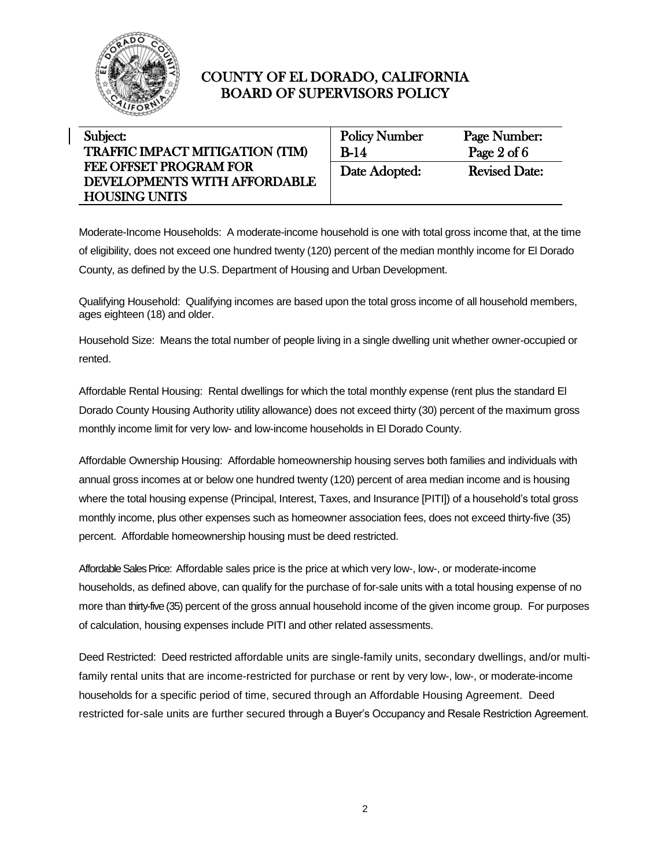

| Subject:                               | <b>Policy Number</b> | Page Number:         |
|----------------------------------------|----------------------|----------------------|
| <b>TRAFFIC IMPACT MITIGATION (TIM)</b> | $B-14$               | Page $2$ of $6$      |
| <b>FEE OFFSET PROGRAM FOR</b>          | Date Adopted:        | <b>Revised Date:</b> |
| DEVELOPMENTS WITH AFFORDABLE           |                      |                      |
| <b>HOUSING UNITS</b>                   |                      |                      |

Moderate-Income Households: A moderate-income household is one with total gross income that, at the time of eligibility, does not exceed one hundred twenty (120) percent of the median monthly income for El Dorado County, as defined by the U.S. Department of Housing and Urban Development.

Qualifying Household: Qualifying incomes are based upon the total gross income of all household members, ages eighteen (18) and older.

Household Size: Means the total number of people living in a single dwelling unit whether owner-occupied or rented.

Affordable Rental Housing: Rental dwellings for which the total monthly expense (rent plus the standard El Dorado County Housing Authority utility allowance) does not exceed thirty (30) percent of the maximum gross monthly income limit for very low- and low-income households in El Dorado County.

Affordable Ownership Housing: Affordable homeownership housing serves both families and individuals with annual gross incomes at or below one hundred twenty (120) percent of area median income and is housing where the total housing expense (Principal, Interest, Taxes, and Insurance [PITI]) of a household's total gross monthly income, plus other expenses such as homeowner association fees, does not exceed thirty-five (35) percent. Affordable homeownership housing must be deed restricted.

Affordable Sales Price: Affordable sales price is the price at which very low-, low-, or moderate-income households, as defined above, can qualify for the purchase of for-sale units with a total housing expense of no more than thirty-five (35) percent of the gross annual household income of the given income group. For purposes of calculation, housing expenses include PITI and other related assessments.

Deed Restricted: Deed restricted affordable units are single-family units, secondary dwellings, and/or multifamily rental units that are income-restricted for purchase or rent by very low-, low-, or moderate-income households for a specific period of time, secured through an Affordable Housing Agreement. Deed restricted for-sale units are further secured through a Buyer's Occupancy and Resale Restriction Agreement.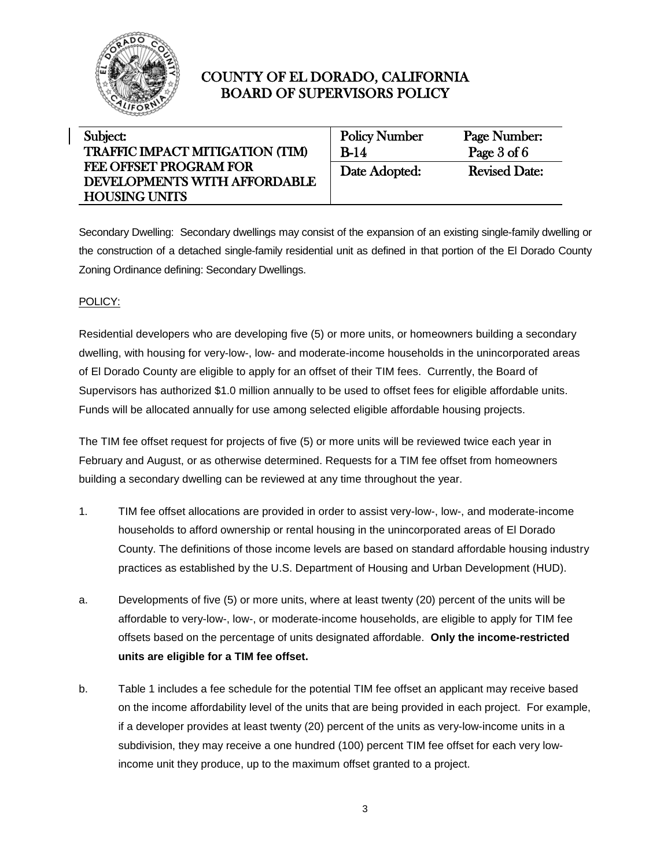

| Subject:                               | <b>Policy Number</b> | Page Number:         |
|----------------------------------------|----------------------|----------------------|
| <b>TRAFFIC IMPACT MITIGATION (TIM)</b> | $B-14$               | Page $3$ of $6$      |
| <b>FEE OFFSET PROGRAM FOR</b>          | Date Adopted:        | <b>Revised Date:</b> |
| DEVELOPMENTS WITH AFFORDABLE           |                      |                      |
| <b>HOUSING UNITS</b>                   |                      |                      |

Secondary Dwelling: Secondary dwellings may consist of the expansion of an existing single-family dwelling or the construction of a detached single-family residential unit as defined in that portion of the El Dorado County Zoning Ordinance defining: Secondary Dwellings.

### POLICY:

Residential developers who are developing five (5) or more units, or homeowners building a secondary dwelling, with housing for very-low-, low- and moderate-income households in the unincorporated areas of El Dorado County are eligible to apply for an offset of their TIM fees. Currently, the Board of Supervisors has authorized \$1.0 million annually to be used to offset fees for eligible affordable units. Funds will be allocated annually for use among selected eligible affordable housing projects.

The TIM fee offset request for projects of five (5) or more units will be reviewed twice each year in February and August, or as otherwise determined. Requests for a TIM fee offset from homeowners building a secondary dwelling can be reviewed at any time throughout the year.

- 1. TIM fee offset allocations are provided in order to assist very-low-, low-, and moderate-income households to afford ownership or rental housing in the unincorporated areas of El Dorado County. The definitions of those income levels are based on standard affordable housing industry practices as established by the U.S. Department of Housing and Urban Development (HUD).
- a. Developments of five (5) or more units, where at least twenty (20) percent of the units will be affordable to very-low-, low-, or moderate-income households, are eligible to apply for TIM fee offsets based on the percentage of units designated affordable. **Only the income-restricted units are eligible for a TIM fee offset.**
- b. Table 1 includes a fee schedule for the potential TIM fee offset an applicant may receive based on the income affordability level of the units that are being provided in each project. For example, if a developer provides at least twenty (20) percent of the units as very-low-income units in a subdivision, they may receive a one hundred (100) percent TIM fee offset for each very lowincome unit they produce, up to the maximum offset granted to a project.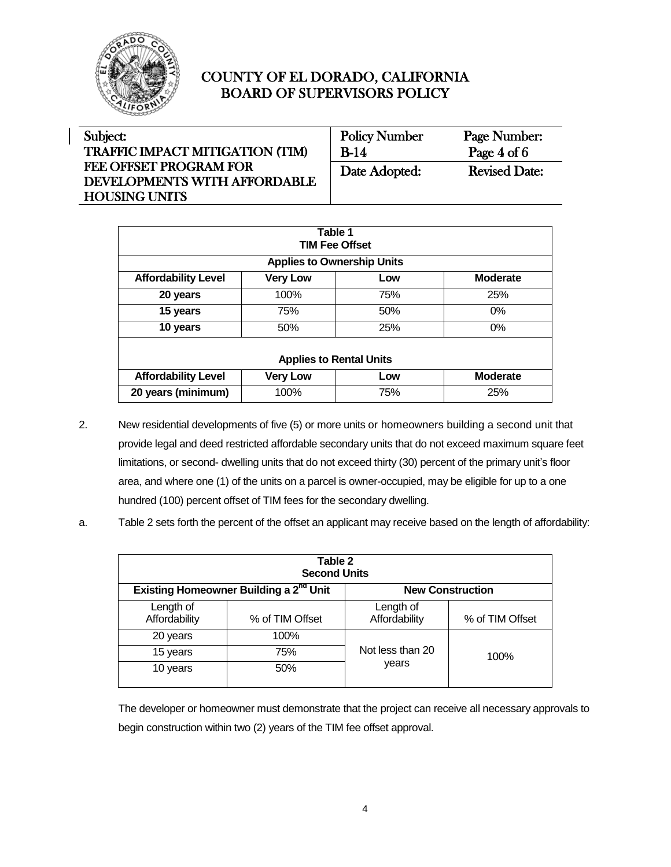

| Subject:                               | <b>Policy Number</b> | Page Number:         |
|----------------------------------------|----------------------|----------------------|
| <b>TRAFFIC IMPACT MITIGATION (TIM)</b> | $B-14$               | Page $4$ of $6$      |
| FEE OFFSET PROGRAM FOR                 | Date Adopted:        | <b>Revised Date:</b> |
| DEVELOPMENTS WITH AFFORDABLE           |                      |                      |
| <b>HOUSING UNITS</b>                   |                      |                      |

| Table 1<br><b>TIM Fee Offset</b> |                 |                                   |                 |
|----------------------------------|-----------------|-----------------------------------|-----------------|
|                                  |                 | <b>Applies to Ownership Units</b> |                 |
| <b>Affordability Level</b>       | <b>Very Low</b> | Low                               | <b>Moderate</b> |
| 20 years                         | 100%            | 75%                               | 25%             |
| 15 years                         | 75%             | 50%                               | $0\%$           |
| 10 years                         | 50%             | 25%                               | $0\%$           |
|                                  |                 |                                   |                 |
| <b>Applies to Rental Units</b>   |                 |                                   |                 |
| <b>Affordability Level</b>       | <b>Very Low</b> | Low                               | <b>Moderate</b> |
| 20 years (minimum)               | 100%            | 75%                               | 25%             |

- 2. New residential developments of five (5) or more units or homeowners building a second unit that provide legal and deed restricted affordable secondary units that do not exceed maximum square feet limitations, or second- dwelling units that do not exceed thirty (30) percent of the primary unit's floor area, and where one (1) of the units on a parcel is owner-occupied, may be eligible for up to a one hundred (100) percent offset of TIM fees for the secondary dwelling.
- a. Table 2 sets forth the percent of the offset an applicant may receive based on the length of affordability:

| Table 2<br><b>Second Units</b> |                                                    |                            |                         |
|--------------------------------|----------------------------------------------------|----------------------------|-------------------------|
|                                | Existing Homeowner Building a 2 <sup>nd</sup> Unit |                            | <b>New Construction</b> |
| Length of<br>Affordability     | % of TIM Offset                                    | Length of<br>Affordability | % of TIM Offset         |
| 20 years                       | 100%                                               |                            |                         |
| 15 years                       | 75%                                                | Not less than 20           | 100%                    |
| 10 years                       | 50%                                                | years                      |                         |

The developer or homeowner must demonstrate that the project can receive all necessary approvals to begin construction within two (2) years of the TIM fee offset approval.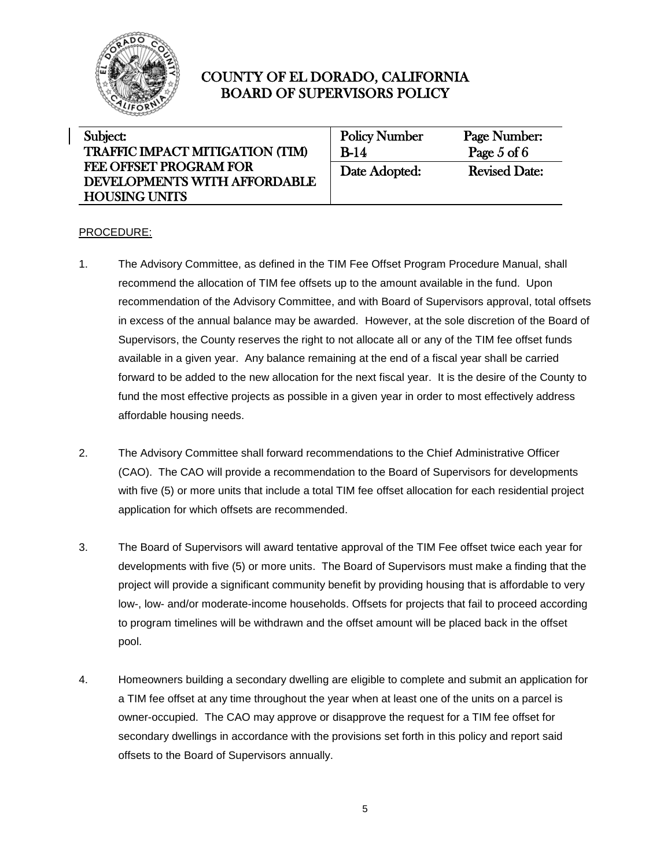

| Subject:                               | <b>Policy Number</b> | Page Number:         |
|----------------------------------------|----------------------|----------------------|
| <b>TRAFFIC IMPACT MITIGATION (TIM)</b> | B-14                 | Page $5$ of $6$      |
| <b>FEE OFFSET PROGRAM FOR</b>          | Date Adopted:        | <b>Revised Date:</b> |
| DEVELOPMENTS WITH AFFORDABLE           |                      |                      |
| <b>HOUSING UNITS</b>                   |                      |                      |

#### PROCEDURE:

- 1. The Advisory Committee, as defined in the TIM Fee Offset Program Procedure Manual, shall recommend the allocation of TIM fee offsets up to the amount available in the fund. Upon recommendation of the Advisory Committee, and with Board of Supervisors approval, total offsets in excess of the annual balance may be awarded. However, at the sole discretion of the Board of Supervisors, the County reserves the right to not allocate all or any of the TIM fee offset funds available in a given year. Any balance remaining at the end of a fiscal year shall be carried forward to be added to the new allocation for the next fiscal year. It is the desire of the County to fund the most effective projects as possible in a given year in order to most effectively address affordable housing needs.
- 2. The Advisory Committee shall forward recommendations to the Chief Administrative Officer (CAO). The CAO will provide a recommendation to the Board of Supervisors for developments with five (5) or more units that include a total TIM fee offset allocation for each residential project application for which offsets are recommended.
- 3. The Board of Supervisors will award tentative approval of the TIM Fee offset twice each year for developments with five (5) or more units. The Board of Supervisors must make a finding that the project will provide a significant community benefit by providing housing that is affordable to very low-, low- and/or moderate-income households. Offsets for projects that fail to proceed according to program timelines will be withdrawn and the offset amount will be placed back in the offset pool.
- 4. Homeowners building a secondary dwelling are eligible to complete and submit an application for a TIM fee offset at any time throughout the year when at least one of the units on a parcel is owner-occupied. The CAO may approve or disapprove the request for a TIM fee offset for secondary dwellings in accordance with the provisions set forth in this policy and report said offsets to the Board of Supervisors annually.